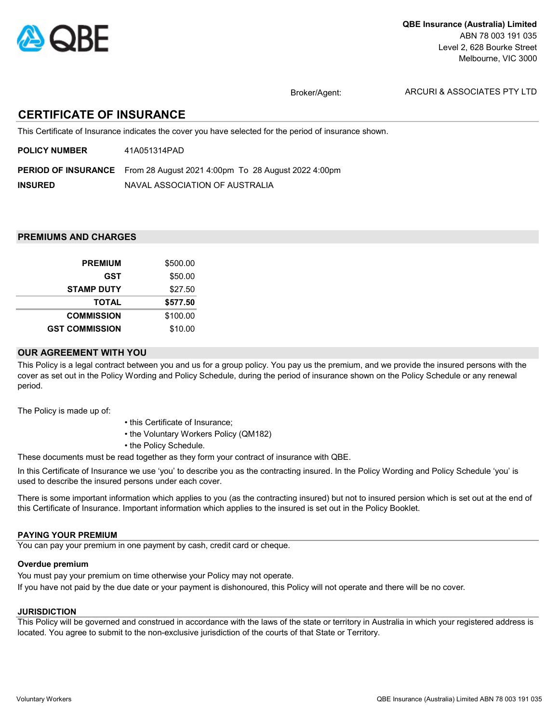

Broker/Agent:

ARCURI & ASSOCIATES PTY LTD

# CERTIFICATE OF INSURANCE

This Certificate of Insurance indicates the cover you have selected for the period of insurance shown.

| <b>POLICY NUMBER</b> | 41A051314PAD |
|----------------------|--------------|
|                      |              |

PERIOD OF INSURANCE From 28 August 2021 4:00pm To 28 August 2022 4:00pm

INSURED NAVAL ASSOCIATION OF AUSTRALIA

## PREMIUMS AND CHARGES

| <b>PREMIUM</b>        | \$500.00 |
|-----------------------|----------|
| GST                   | \$50.00  |
| <b>STAMP DUTY</b>     | \$27.50  |
| <b>TOTAL</b>          | \$577.50 |
| <b>COMMISSION</b>     | \$100.00 |
| <b>GST COMMISSION</b> | \$10.00  |

### OUR AGREEMENT WITH YOU

This Policy is a legal contract between you and us for a group policy. You pay us the premium, and we provide the insured persons with the cover as set out in the Policy Wording and Policy Schedule, during the period of insurance shown on the Policy Schedule or any renewal period.

The Policy is made up of:

- this Certificate of Insurance;
- the Voluntary Workers Policy (QM182)
- the Policy Schedule.

These documents must be read together as they form your contract of insurance with QBE.

In this Certificate of Insurance we use 'you' to describe you as the contracting insured. In the Policy Wording and Policy Schedule 'you' is used to describe the insured persons under each cover.

There is some important information which applies to you (as the contracting insured) but not to insured persion which is set out at the end of this Certificate of Insurance. Important information which applies to the insured is set out in the Policy Booklet.

### PAYING YOUR PREMIUM

You can pay your premium in one payment by cash, credit card or cheque.

### Overdue premium

You must pay your premium on time otherwise your Policy may not operate. If you have not paid by the due date or your payment is dishonoured, this Policy will not operate and there will be no cover.

### **JURISDICTION**

This Policy will be governed and construed in accordance with the laws of the state or territory in Australia in which your registered address is located. You agree to submit to the non-exclusive jurisdiction of the courts of that State or Territory.